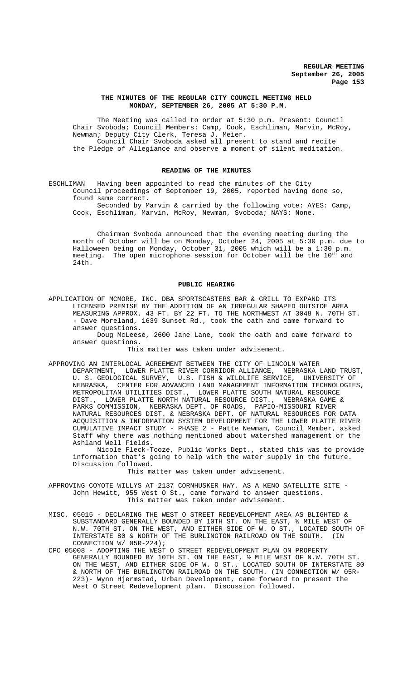## **THE MINUTES OF THE REGULAR CITY COUNCIL MEETING HELD MONDAY, SEPTEMBER 26, 2005 AT 5:30 P.M.**

The Meeting was called to order at 5:30 p.m. Present: Council Chair Svoboda; Council Members: Camp, Cook, Eschliman, Marvin, McRoy, Newman; Deputy City Clerk, Teresa J. Meier. Council Chair Svoboda asked all present to stand and recite the Pledge of Allegiance and observe a moment of silent meditation.

### **READING OF THE MINUTES**

ESCHLIMAN Having been appointed to read the minutes of the City Council proceedings of September 19, 2005, reported having done so, found same correct.

Seconded by Marvin & carried by the following vote: AYES: Camp, Cook, Eschliman, Marvin, McRoy, Newman, Svoboda; NAYS: None.

Chairman Svoboda announced that the evening meeting during the month of October will be on Monday, October 24, 2005 at 5:30 p.m. due to Halloween being on Monday, October 31, 2005 which will be a 1:30 p.m. meeting. The open microphone session for October will be the  $10^{\rm th}$  and 24th.

### **PUBLIC HEARING**

APPLICATION OF MCMORE, INC. DBA SPORTSCASTERS BAR & GRILL TO EXPAND ITS LICENSED PREMISE BY THE ADDITION OF AN IRREGULAR SHAPED OUTSIDE AREA MEASURING APPROX. 43 FT. BY 22 FT. TO THE NORTHWEST AT 3048 N. 70TH ST. - Dave Moreland, 1639 Sunset Rd., took the oath and came forward to answer questions.

Doug McLeese, 2600 Jane Lane, took the oath and came forward to answer questions.

This matter was taken under advisement.

APPROVING AN INTERLOCAL AGREEMENT BETWEEN THE CITY OF LINCOLN WATER DEPARTMENT, LOWER PLATTE RIVER CORRIDOR ALLIANCE, NEBRASKA LAND TRUST, U. S. GEOLOGICAL SURVEY, U.S. FISH & WILDLIFE SERVICE, UNIVERSITY OF NEBRASKA, CENTER FOR ADVANCED LAND MANAGEMENT INFORMATION TECHNOLOGIES, METROPOLITAN UTILITIES DIST., LOWER PLATTE SOUTH NATURAL RESOURCE<br>DIST.. LOWER PLATTE NORTH NATURAL RESOURCE DIST., NEBRASKA GAME LOWER PLATTE NORTH NATURAL RESOURCE DIST., NEBRASKA GAME & PARKS COMMISSION, NEBRASKA DEPT. OF ROADS, PAPIO-MISSOURI RIVER NATURAL RESOURCES DIST. & NEBRASKA DEPT. OF NATURAL RESOURCES FOR DATA ACQUISITION & INFORMATION SYSTEM DEVELOPMENT FOR THE LOWER PLATTE RIVER CUMULATIVE IMPACT STUDY - PHASE 2 - Patte Newman, Council Member, asked Staff why there was nothing mentioned about watershed management or the Ashland Well Fields.

Nicole Fleck-Tooze, Public Works Dept., stated this was to provide information that's going to help with the water supply in the future. Discussion followed.

This matter was taken under advisement.

APPROVING COYOTE WILLYS AT 2137 CORNHUSKER HWY. AS A KENO SATELLITE SITE - John Hewitt, 955 West O St., came forward to answer questions. This matter was taken under advisement.

- MISC. 05015 DECLARING THE WEST O STREET REDEVELOPMENT AREA AS BLIGHTED & SUBSTANDARD GENERALLY BOUNDED BY 10TH ST. ON THE EAST, ½ MILE WEST OF N.W. 70TH ST. ON THE WEST, AND EITHER SIDE OF W. O ST., LOCATED SOUTH OF TNTERSTATE 80 & NORTH OF THE BURLINGTON RAILROAD ON THE SOUTH. (IN INTERSTATE 80 & NORTH OF THE BURLINGTON RAILROAD ON THE SOUTH. CONNECTION W/ 05R-224);
- CPC 05008 ADOPTING THE WEST O STREET REDEVELOPMENT PLAN ON PROPERTY GENERALLY BOUNDED BY 10TH ST. ON THE EAST, ½ MILE WEST OF N.W. 70TH ST. ON THE WEST, AND EITHER SIDE OF W. O ST., LOCATED SOUTH OF INTERSTATE 80 & NORTH OF THE BURLINGTON RAILROAD ON THE SOUTH. (IN CONNECTION W/ 05R-223)- Wynn Hjermstad, Urban Development, came forward to present the West O Street Redevelopment plan. Discussion followed.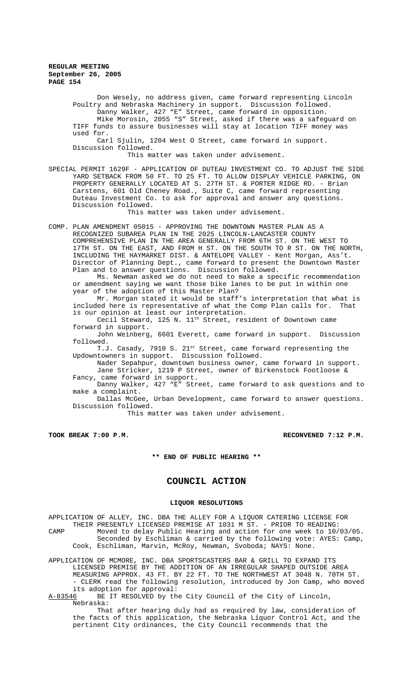Don Wesely, no address given, came forward representing Lincoln Poultry and Nebraska Machinery in support. Discussion followed. Danny Walker, 427 "E" Street, came forward in opposition. Damiy Wainer, 12, 1 Dereet, esked if there was a safeguard on<br>Mike Morosin, 2055 "S" Street, asked if there was a safeguard on TIFF funds to assure businesses will stay at location TIFF money was used for. Carl Sjulin, 1204 West O Street, came forward in support. Discussion followed. This matter was taken under advisement. SPECIAL PERMIT 1629F - APPLICATION OF DUTEAU INVESTMENT CO. TO ADJUST THE SIDE YARD SETBACK FROM 50 FT. TO 25 FT. TO ALLOW DISPLAY VEHICLE PARKING, ON PROPERTY GENERALLY LOCATED AT S. 27TH ST. & PORTER RIDGE RD. - Brian Carstens, 601 Old Cheney Road., Suite C, came forward representing Duteau Investment Co. to ask for approval and answer any questions. Discussion followed. This matter was taken under advisement. COMP. PLAN AMENDMENT 05015 - APPROVING THE DOWNTOWN MASTER PLAN AS A RECOGNIZED SUBAREA PLAN IN THE 2025 LINCOLN-LANCASTER COUNTY COMPREHENSIVE PLAN IN THE AREA GENERALLY FROM 6TH ST. ON THE WEST TO 17TH ST. ON THE EAST, AND FROM H ST. ON THE SOUTH TO R ST. ON THE NORTH, INCLUDING THE HAYMARKET DIST. & ANTELOPE VALLEY - Kent Morgan, Ass't. Director of Planning Dept., came forward to present the Downtown Master Plan and to answer questions. Discussion followed. Ms. Newman asked we do not need to make a specific recommendation or amendment saying we want those bike lanes to be put in within one

year of the adoption of this Master Plan? Mr. Morgan stated it would be staff's interpretation that what is included here is representative of what the Comp Plan calls for. That is our opinion at least our interpretation.

Cecil Steward, 125 N. 11<sup>th</sup> Street, resident of Downtown came forward in support.

John Weinberg, 6601 Everett, came forward in support. Discussion followed.

T.J. Casady, 7910 S. 21<sup>st</sup> Street, came forward representing the Updowntowners in support. Discussion followed.

Nader Sepahpur, downtown business owner, came forward in support. Jane Stricker, 1219 P Street, owner of Birkenstock Footloose & Fancy, came forward in support.

Danny Walker, 427 "E" Street, came forward to ask questions and to make a complaint.

Dallas McGee, Urban Development, came forward to answer questions. Discussion followed.

This matter was taken under advisement.

**TOOK BREAK 7:00 P.M. RECONVENED 7:12 P.M.**

**\*\* END OF PUBLIC HEARING \*\***

# **COUNCIL ACTION**

### **LIQUOR RESOLUTIONS**

APPLICATION OF ALLEY, INC. DBA THE ALLEY FOR A LIQUOR CATERING LICENSE FOR THEIR PRESENTLY LICENSED PREMISE AT 1031 M ST. - PRIOR TO READING: CAMP Moved to delay Public Hearing and action for one week to 10/03/05. Seconded by Eschliman & carried by the following vote: AYES: Camp, Cook, Eschliman, Marvin, McRoy, Newman, Svoboda; NAYS: None.

APPLICATION OF MCMORE, INC. DBA SPORTSCASTERS BAR & GRILL TO EXPAND ITS LICENSED PREMISE BY THE ADDITION OF AN IRREGULAR SHAPED OUTSIDE AREA MEASURING APPROX. 43 FT. BY 22 FT. TO THE NORTHWEST AT 3048 N. 70TH ST. - CLERK read the following resolution, introduced by Jon Camp, who moved

its adoption for approval:<br>A-83546 BE IT RESOLVED by th BE IT RESOLVED by the City Council of the City of Lincoln, Nebraska:

That after hearing duly had as required by law, consideration of the facts of this application, the Nebraska Liquor Control Act, and the pertinent City ordinances, the City Council recommends that the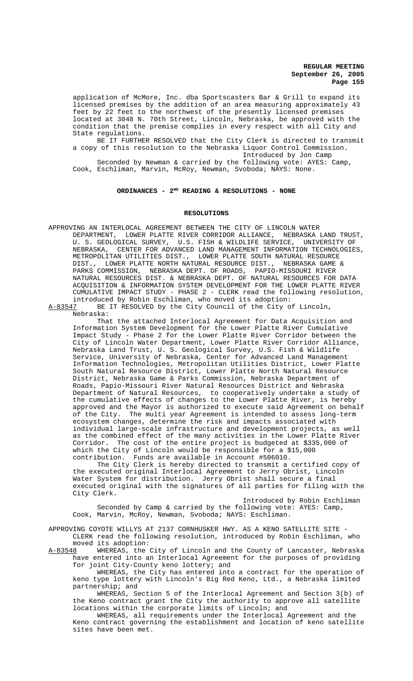application of McMore, Inc. dba Sportscasters Bar & Grill to expand its licensed premises by the addition of an area measuring approximately 43 feet by 22 feet to the northwest of the presently licensed premises located at 3048 N. 70th Street, Lincoln, Nebraska, be approved with the condition that the premise complies in every respect with all City and State regulations.

BE IT FURTHER RESOLVED that the City Clerk is directed to transmit a copy of this resolution to the Nebraska Liquor Control Commission. Introduced by Jon Camp

Seconded by Newman & carried by the following vote: AYES: Camp, Cook, Eschliman, Marvin, McRoy, Newman, Svoboda; NAYS: None.

## ORDINANCES - 2<sup>ND</sup> READING & RESOLUTIONS - NONE

### **RESOLUTIONS**

APPROVING AN INTERLOCAL AGREEMENT BETWEEN THE CITY OF LINCOLN WATER DEPARTMENT, LOWER PLATTE RIVER CORRIDOR ALLIANCE, NEBRASKA LAND TRUST, U. S. GEOLOGICAL SURVEY, U.S. FISH & WILDLIFE SERVICE, UNIVERSITY OF NEBRASKA, CENTER FOR ADVANCED LAND MANAGEMENT INFORMATION TECHNOLOGIES, METROPOLITAN UTILITIES DIST., LOWER PLATTE SOUTH NATURAL RESOURCE<br>DIST., LOWER PLATTE NORTH NATURAL RESOURCE DIST., NEBRASKA GAME DIST., LOWER PLATTE NORTH NATURAL RESOURCE DIST., NEBRASKA GAME & PARKS COMMISSION, NEBRASKA DEPT. OF ROADS, PAPIO-MISSOURI RIVER NATURAL RESOURCES DIST. & NEBRASKA DEPT. OF NATURAL RESOURCES FOR DATA ACQUISITION & INFORMATION SYSTEM DEVELOPMENT FOR THE LOWER PLATTE RIVER CUMULATIVE IMPACT STUDY - PHASE 2 - CLERK read the following resolution, introduced by Robin Eschliman, who moved its adoption:<br>A-83547 BE IT RESOLVED by the City Council of the City o

BE IT RESOLVED by the City Council of the City of Lincoln, Nebraska:

That the attached Interlocal Agreement for Data Acquisition and Information System Development for the Lower Platte River Cumulative Impact Study - Phase 2 for the Lower Platte River Corridor between the City of Lincoln Water Department, Lower Platte River Corridor Alliance, Nebraska Land Trust, U. S. Geological Survey, U.S. Fish & Wildlife Service, University of Nebraska, Center for Advanced Land Management Information Technologies, Metropolitan Utilities District, Lower Platte South Natural Resource District, Lower Platte North Natural Resource District, Nebraska Game & Parks Commission, Nebraska Department of Roads, Papio-Missouri River Natural Resources District and Nebraska Department of Natural Resources, to cooperatively undertake a study of the cumulative effects of changes to the Lower Platte River, is hereby approved and the Mayor is authorized to execute said Agreement on behalf of the City. The multi year Agreement is intended to assess long-term ecosystem changes, determine the risk and impacts associated with individual large-scale infrastructure and development projects, as well as the combined effect of the many activities in the Lower Platte River Corridor. The cost of the entire project is budgeted at \$335,000 of which the City of Lincoln would be responsible for a \$15,000 contribution. Funds are available in Account #506010.

The City Clerk is hereby directed to transmit a certified copy of the executed original Interlocal Agreement to Jerry Obrist, Lincoln Water System for distribution. Jerry Obrist shall secure a final executed original with the signatures of all parties for filing with the City Clerk.

Introduced by Robin Eschliman Seconded by Camp & carried by the following vote: AYES: Camp, Cook, Marvin, McRoy, Newman, Svoboda; NAYS: Eschliman.

APPROVING COYOTE WILLYS AT 2137 CORNHUSKER HWY. AS A KENO SATELLITE SITE - CLERK read the following resolution, introduced by Robin Eschliman, who moved its adoption:<br>A-83548 WHEREAS, the

WHEREAS, the City of Lincoln and the County of Lancaster, Nebraska have entered into an Interlocal Agreement for the purposes of providing for joint City-County keno lottery; and

WHEREAS, the City has entered into a contract for the operation of keno type lottery with Lincoln's Big Red Keno, Ltd., a Nebraska limited partnership; and

WHEREAS, Section 5 of the Interlocal Agreement and Section 3(b) of the Keno contract grant the City the authority to approve all satellite locations within the corporate limits of Lincoln; and

WHEREAS, all requirements under the Interlocal Agreement and the Keno contract governing the establishment and location of keno satellite sites have been met.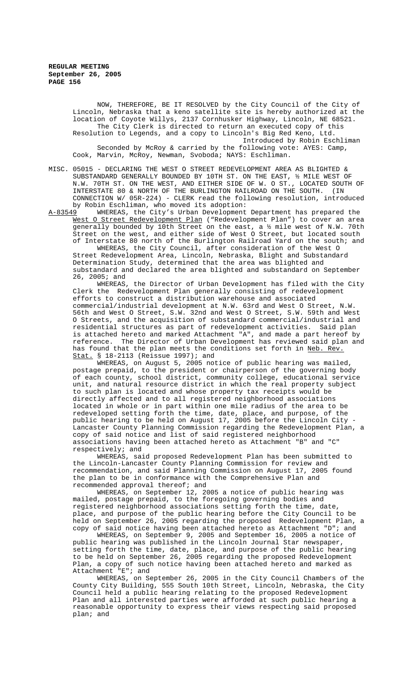NOW, THEREFORE, BE IT RESOLVED by the City Council of the City of Lincoln, Nebraska that a keno satellite site is hereby authorized at the location of Coyote Willys, 2137 Cornhusker Highway, Lincoln, NE 68521. The City Clerk is directed to return an executed copy of this Resolution to Legends, and a copy to Lincoln's Big Red Keno, Ltd. Introduced by Robin Eschliman

Seconded by McRoy & carried by the following vote: AYES: Camp, Cook, Marvin, McRoy, Newman, Svoboda; NAYS: Eschliman.

MISC. 05015 - DECLARING THE WEST O STREET REDEVELOPMENT AREA AS BLIGHTED & SUBSTANDARD GENERALLY BOUNDED BY 10TH ST. ON THE EAST, ½ MILE WEST OF N.W. 70TH ST. ON THE WEST, AND EITHER SIDE OF W. O ST., LOCATED SOUTH OF INTERSTATE 80 & NORTH OF THE BURLINGTON RAILROAD ON THE SOUTH. CONNECTION W/ 05R-224) - CLERK read the following resolution, introduced by Robin Eschliman, who moved its adoption:

A-83549 WHEREAS, the City's Urban Development Department has prepared the West O Street Redevelopment Plan ("Redevelopment Plan") to cover an area generally bounded by 10th Street on the east, a ½ mile west of N.W. 70th Street on the west, and either side of West O Street, but located south of Interstate 80 north of the Burlington Railroad Yard on the south; and

WHEREAS, the City Council, after consideration of the West O Street Redevelopment Area, Lincoln, Nebraska, Blight and Substandard Determination Study, determined that the area was blighted and substandard and declared the area blighted and substandard on September 26, 2005; and

WHEREAS, the Director of Urban Development has filed with the City Clerk the Redevelopment Plan generally consisting of redevelopment efforts to construct a distribution warehouse and associated commercial/industrial development at N.W. 63rd and West O Street, N.W. 56th and West O Street, S.W. 32nd and West O Street, S.W. 59th and West O Streets, and the acquisition of substandard commercial/industrial and residential structures as part of redevelopment activities. Said plan is attached hereto and marked Attachment "A", and made a part hereof by reference. The Director of Urban Development has reviewed said plan and has found that the plan meets the conditions set forth in Neb. Rev. Stat. § 18-2113 (Reissue 1997); and

WHEREAS, on August 5, 2005 notice of public hearing was mailed, postage prepaid, to the president or chairperson of the governing body of each county, school district, community college, educational service unit, and natural resource district in which the real property subject to such plan is located and whose property tax receipts would be directly affected and to all registered neighborhood associations located in whole or in part within one mile radius of the area to be redeveloped setting forth the time, date, place, and purpose, of the public hearing to be held on August 17, 2005 before the Lincoln City - Lancaster County Planning Commission regarding the Redevelopment Plan, a copy of said notice and list of said registered neighborhood associations having been attached hereto as Attachment "B" and "C" respectively; and

WHEREAS, said proposed Redevelopment Plan has been submitted to the Lincoln-Lancaster County Planning Commission for review and recommendation, and said Planning Commission on August 17, 2005 found the plan to be in conformance with the Comprehensive Plan and recommended approval thereof; and

WHEREAS, on September 12, 2005 a notice of public hearing was mailed, postage prepaid, to the foregoing governing bodies and registered neighborhood associations setting forth the time, date, place, and purpose of the public hearing before the City Council to be held on September 26, 2005 regarding the proposed Redevelopment Plan, a copy of said notice having been attached hereto as Attachment "D"; and

WHEREAS, on September 9, 2005 and September 16, 2005 a notice of public hearing was published in the Lincoln Journal Star newspaper, setting forth the time, date, place, and purpose of the public hearing to be held on September 26, 2005 regarding the proposed Redevelopment Plan, a copy of such notice having been attached hereto and marked as Attachment "E"; and

WHEREAS, on September 26, 2005 in the City Council Chambers of the County City Building, 555 South 10th Street, Lincoln, Nebraska, the City Council held a public hearing relating to the proposed Redevelopment Plan and all interested parties were afforded at such public hearing a reasonable opportunity to express their views respecting said proposed plan; and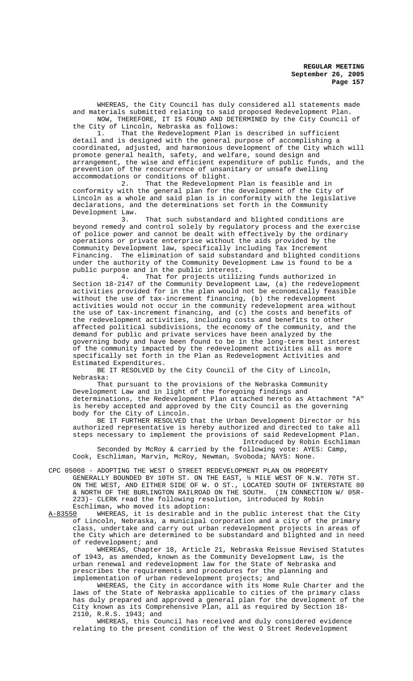WHEREAS, the City Council has duly considered all statements made and materials submitted relating to said proposed Redevelopment Plan. NOW, THEREFORE, IT IS FOUND AND DETERMINED by the City Council of

the City of Lincoln, Nebraska as follows: That the Redevelopment Plan is described in sufficient detail and is designed with the general purpose of accomplishing a coordinated, adjusted, and harmonious development of the City which will promote general health, safety, and welfare, sound design and arrangement, the wise and efficient expenditure of public funds, and the prevention of the reoccurrence of unsanitary or unsafe dwelling accommodations or conditions of blight.<br>2. That the Redevelopmen

That the Redevelopment Plan is feasible and in conformity with the general plan for the development of the City of Lincoln as a whole and said plan is in conformity with the legislative declarations, and the determinations set forth in the Community Development Law.<br>3.

That such substandard and blighted conditions are beyond remedy and control solely by regulatory process and the exercise of police power and cannot be dealt with effectively by the ordinary operations or private enterprise without the aids provided by the Community Development law, specifically including Tax Increment Financing. The elimination of said substandard and blighted conditions under the authority of the Community Development Law is found to be a public purpose and in the public interest.

That for projects utilizing funds authorized in Section 18-2147 of the Community Development Law, (a) the redevelopment activities provided for in the plan would not be economically feasible without the use of tax-increment financing, (b) the redevelopment activities would not occur in the community redevelopment area without the use of tax-increment financing, and (c) the costs and benefits of the redevelopment activities, including costs and benefits to other affected political subdivisions, the economy of the community, and the demand for public and private services have been analyzed by the governing body and have been found to be in the long-term best interest of the community impacted by the redevelopment activities all as more specifically set forth in the Plan as Redevelopment Activities and Estimated Expenditures.

BE IT RESOLVED by the City Council of the City of Lincoln, Nebraska:

That pursuant to the provisions of the Nebraska Community Development Law and in light of the foregoing findings and determinations, the Redevelopment Plan attached hereto as Attachment "A" is hereby accepted and approved by the City Council as the governing body for the City of Lincoln.

BE IT FURTHER RESOLVED that the Urban Development Director or his authorized representative is hereby authorized and directed to take all steps necessary to implement the provisions of said Redevelopment Plan. Introduced by Robin Eschliman

Seconded by McRoy & carried by the following vote: AYES: Camp, Cook, Eschliman, Marvin, McRoy, Newman, Svoboda; NAYS: None.

- CPC 05008 ADOPTING THE WEST O STREET REDEVELOPMENT PLAN ON PROPERTY GENERALLY BOUNDED BY 10TH ST. ON THE EAST, ½ MILE WEST OF N.W. 70TH ST. ON THE WEST, AND EITHER SIDE OF W. O ST., LOCATED SOUTH OF INTERSTATE 80 & NORTH OF THE BURLINGTON RAILROAD ON THE SOUTH. (IN CONNECTION W/ 05R-223)- CLERK read the following resolution, introduced by Robin
- Eschliman, who moved its adoption:<br>A-83550 WHEREAS, it is desirable and WHEREAS, it is desirable and in the public interest that the City of Lincoln, Nebraska, a municipal corporation and a city of the primary class, undertake and carry out urban redevelopment projects in areas of the City which are determined to be substandard and blighted and in need of redevelopment; and

WHEREAS, Chapter 18, Article 21, Nebraska Reissue Revised Statutes of 1943, as amended, known as the Community Development Law, is the urban renewal and redevelopment law for the State of Nebraska and prescribes the requirements and procedures for the planning and implementation of urban redevelopment projects; and

WHEREAS, the City in accordance with its Home Rule Charter and the laws of the State of Nebraska applicable to cities of the primary class has duly prepared and approved a general plan for the development of the City known as its Comprehensive Plan, all as required by Section 18- 2110, R.R.S. 1943; and

WHEREAS, this Council has received and duly considered evidence relating to the present condition of the West O Street Redevelopment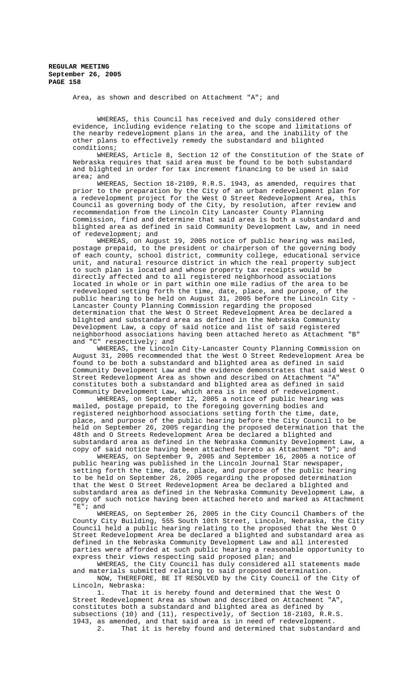Area, as shown and described on Attachment "A"; and

WHEREAS, this Council has received and duly considered other evidence, including evidence relating to the scope and limitations of the nearby redevelopment plans in the area, and the inability of the other plans to effectively remedy the substandard and blighted conditions;

WHEREAS, Article 8, Section 12 of the Constitution of the State of Nebraska requires that said area must be found to be both substandard and blighted in order for tax increment financing to be used in said area; and

WHEREAS, Section 18-2109, R.R.S. 1943, as amended, requires that prior to the preparation by the City of an urban redevelopment plan for a redevelopment project for the West O Street Redevelopment Area, this Council as governing body of the City, by resolution, after review and recommendation from the Lincoln City Lancaster County Planning Commission, find and determine that said area is both a substandard and blighted area as defined in said Community Development Law, and in need of redevelopment; and

WHEREAS, on August 19, 2005 notice of public hearing was mailed, postage prepaid, to the president or chairperson of the governing body of each county, school district, community college, educational service unit, and natural resource district in which the real property subject to such plan is located and whose property tax receipts would be directly affected and to all registered neighborhood associations located in whole or in part within one mile radius of the area to be redeveloped setting forth the time, date, place, and purpose, of the public hearing to be held on August 31, 2005 before the Lincoln City - Lancaster County Planning Commission regarding the proposed determination that the West O Street Redevelopment Area be declared a blighted and substandard area as defined in the Nebraska Community Development Law, a copy of said notice and list of said registered neighborhood associations having been attached hereto as Attachment "B" and "C" respectively; and

WHEREAS, the Lincoln City-Lancaster County Planning Commission on August 31, 2005 recommended that the West O Street Redevelopment Area be found to be both a substandard and blighted area as defined in said Community Development Law and the evidence demonstrates that said West O Street Redevelopment Area as shown and described on Attachment "A" constitutes both a substandard and blighted area as defined in said Community Development Law, which area is in need of redevelopment.

WHEREAS, on September 12, 2005 a notice of public hearing was mailed, postage prepaid, to the foregoing governing bodies and registered neighborhood associations setting forth the time, date, place, and purpose of the public hearing before the City Council to be held on September 26, 2005 regarding the proposed determination that the 48th and O Streets Redevelopment Area be declared a blighted and substandard area as defined in the Nebraska Community Development Law, a copy of said notice having been attached hereto as Attachment "D"; and

WHEREAS, on September 9, 2005 and September 16, 2005 a notice of public hearing was published in the Lincoln Journal Star newspaper, setting forth the time, date, place, and purpose of the public hearing to be held on September 26, 2005 regarding the proposed determination that the West O Street Redevelopment Area be declared a blighted and substandard area as defined in the Nebraska Community Development Law, a copy of such notice having been attached hereto and marked as Attachment "E"; and

WHEREAS, on September 26, 2005 in the City Council Chambers of the County City Building, 555 South 10th Street, Lincoln, Nebraska, the City Council held a public hearing relating to the proposed that the West O Street Redevelopment Area be declared a blighted and substandard area as defined in the Nebraska Community Development Law and all interested parties were afforded at such public hearing a reasonable opportunity to express their views respecting said proposed plan; and

WHEREAS, the City Council has duly considered all statements made and materials submitted relating to said proposed determination.

NOW, THEREFORE, BE IT RESOLVED by the City Council of the City of Lincoln, Nebraska:

1. That it is hereby found and determined that the West O<br>I Redevelopment Area as shown and described on Attachment "A", Street Redevelopment Area as shown and described on Attachment "A", constitutes both a substandard and blighted area as defined by subsections (10) and (11), respectively, of Section 18-2103, R.R.S. 1943, as amended, and that said area is in need of redevelopment.

2. That it is hereby found and determined that substandard and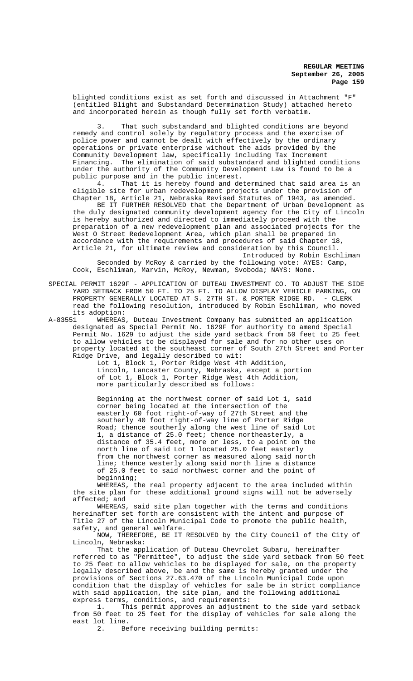blighted conditions exist as set forth and discussed in Attachment "F" (entitled Blight and Substandard Determination Study) attached hereto and incorporated herein as though fully set forth verbatim.

That such substandard and blighted conditions are beyond remedy and control solely by regulatory process and the exercise of police power and cannot be dealt with effectively by the ordinary operations or private enterprise without the aids provided by the Community Development law, specifically including Tax Increment Financing. The elimination of said substandard and blighted conditions under the authority of the Community Development Law is found to be a

public purpose and in the public interest.<br>4. That it is hereby found and de That it is hereby found and determined that said area is an eligible site for urban redevelopment projects under the provision of Chapter 18, Article 21, Nebraska Revised Statutes of 1943, as amended.

BE IT FURTHER RESOLVED that the Department of Urban Development as the duly designated community development agency for the City of Lincoln is hereby authorized and directed to immediately proceed with the preparation of a new redevelopment plan and associated projects for the West O Street Redevelopment Area, which plan shall be prepared in accordance with the requirements and procedures of said Chapter 18, Article 21, for ultimate review and consideration by this Council. Introduced by Robin Eschliman

Seconded by McRoy & carried by the following vote: AYES: Camp, Cook, Eschliman, Marvin, McRoy, Newman, Svoboda; NAYS: None.

SPECIAL PERMIT 1629F - APPLICATION OF DUTEAU INVESTMENT CO. TO ADJUST THE SIDE YARD SETBACK FROM 50 FT. TO 25 FT. TO ALLOW DISPLAY VEHICLE PARKING, ON PROPERTY GENERALLY LOCATED AT S. 27TH ST. & PORTER RIDGE RD. - CLERK read the following resolution, introduced by Robin Eschliman, who moved its adoption:<br>A-83551 MHEREAS

WHEREAS, Duteau Investment Company has submitted an application designated as Special Permit No. 1629F for authority to amend Special Permit No. 1629 to adjust the side yard setback from 50 feet to 25 feet to allow vehicles to be displayed for sale and for no other uses on property located at the southeast corner of South 27th Street and Porter Ridge Drive, and legally described to wit:

Lot 1, Block 1, Porter Ridge West 4th Addition, Lincoln, Lancaster County, Nebraska, except a portion of Lot 1, Block 1, Porter Ridge West 4th Addition, more particularly described as follows:

Beginning at the northwest corner of said Lot 1, said corner being located at the intersection of the easterly 60 foot right-of-way of 27th Street and the southerly 40 foot right-of-way line of Porter Ridge Road; thence southerly along the west line of said Lot 1, a distance of 25.0 feet; thence northeasterly, a distance of 35.4 feet, more or less, to a point on the north line of said Lot 1 located 25.0 feet easterly from the northwest corner as measured along said north line; thence westerly along said north line a distance of 25.0 feet to said northwest corner and the point of beginning;

WHEREAS, the real property adjacent to the area included within the site plan for these additional ground signs will not be adversely affected; and

WHEREAS, said site plan together with the terms and conditions hereinafter set forth are consistent with the intent and purpose of Title 27 of the Lincoln Municipal Code to promote the public health, safety, and general welfare.

NOW, THEREFORE, BE IT RESOLVED by the City Council of the City of Lincoln, Nebraska:

That the application of Duteau Chevrolet Subaru, hereinafter referred to as "Permittee", to adjust the side yard setback from 50 feet to 25 feet to allow vehicles to be displayed for sale, on the property legally described above, be and the same is hereby granted under the provisions of Sections 27.63.470 of the Lincoln Municipal Code upon condition that the display of vehicles for sale be in strict compliance with said application, the site plan, and the following additional express terms, conditions, and requirements:

1. This permit approves an adjustment to the side yard setback from 50 feet to 25 feet for the display of vehicles for sale along the east lot line.<br>2. Be

Before receiving building permits: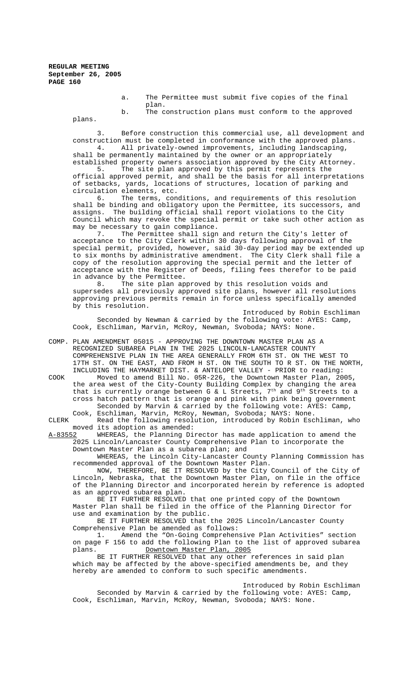a. The Permittee must submit five copies of the final plan. b. The construction plans must conform to the approved

plans.

Before construction this commercial use, all development and construction must be completed in conformance with the approved plans.<br>4. All privately-owned improvements, including landscaping, All privately-owned improvements, including landscaping,

shall be permanently maintained by the owner or an appropriately

established property owners association approved by the City Attorney.<br>5. The site plan approved by this permit represents the The site plan approved by this permit represents the official approved permit, and shall be the basis for all interpretations of setbacks, yards, locations of structures, location of parking and circulation elements, etc.

6. The terms, conditions, and requirements of this resolution shall be binding and obligatory upon the Permittee, its successors, and assigns. The building official shall report violations to the City Council which may revoke the special permit or take such other action as may be necessary to gain compliance.<br>7. The Permittee shall sign

The Permittee shall sign and return the City's letter of acceptance to the City Clerk within 30 days following approval of the special permit, provided, however, said 30-day period may be extended up to six months by administrative amendment. The City Clerk shall file a copy of the resolution approving the special permit and the letter of acceptance with the Register of Deeds, filing fees therefor to be paid in advance by the Permittee.

8. The site plan approved by this resolution voids and supersedes all previously approved site plans, however all resolutions approving previous permits remain in force unless specifically amended by this resolution.

Introduced by Robin Eschliman Seconded by Newman & carried by the following vote: AYES: Camp, Cook, Eschliman, Marvin, McRoy, Newman, Svoboda; NAYS: None.

COMP. PLAN AMENDMENT 05015 - APPROVING THE DOWNTOWN MASTER PLAN AS A RECOGNIZED SUBAREA PLAN IN THE 2025 LINCOLN-LANCASTER COUNTY COMPREHENSIVE PLAN IN THE AREA GENERALLY FROM 6TH ST. ON THE WEST TO 17TH ST. ON THE EAST, AND FROM H ST. ON THE SOUTH TO R ST. ON THE NORTH, INCLUDING THE HAYMARKET DIST. & ANTELOPE VALLEY - PRIOR to reading: COOK Moved to amend Bill No. 05R-226, the Downtown Master Plan, 2005, the area west of the City-County Building Complex by changing the area

that is currently orange between G  $\&$  L Streets,  $7<sup>th</sup>$  and  $9<sup>th</sup>$  Streets to a cross hatch pattern that is orange and pink with pink being government Seconded by Marvin & carried by the following vote: AYES: Camp, Cook, Eschliman, Marvin, McRoy, Newman, Svoboda; NAYS: None.

CLERK Read the following resolution, introduced by Robin Eschliman, who moved its adoption as amended:<br>A-83552 WHEREAS, the Planning Di

WHEREAS, the Planning Director has made application to amend the 2025 Lincoln/Lancaster County Comprehensive Plan to incorporate the Downtown Master Plan as a subarea plan; and

WHEREAS, the Lincoln City-Lancaster County Planning Commission has recommended approval of the Downtown Master Plan.

NOW, THEREFORE, BE IT RESOLVED by the City Council of the City of Lincoln, Nebraska, that the Downtown Master Plan, on file in the office of the Planning Director and incorporated herein by reference is adopted as an approved subarea plan.

BE IT FURTHER RESOLVED that one printed copy of the Downtown Master Plan shall be filed in the office of the Planning Director for use and examination by the public.

BE IT FURTHER RESOLVED that the 2025 Lincoln/Lancaster County Comprehensive Plan be amended as follows:

1. Amend the "On-Going Comprehensive Plan Activities" section on page F 156 to add the following Plan to the list of approved subarea plans. Downtown Master Plan, 2005

BE IT FURTHER RESOLVED that any other references in said plan which may be affected by the above-specified amendments be, and they hereby are amended to conform to such specific amendments.

Introduced by Robin Eschliman Seconded by Marvin & carried by the following vote: AYES: Camp, Cook, Eschliman, Marvin, McRoy, Newman, Svoboda; NAYS: None.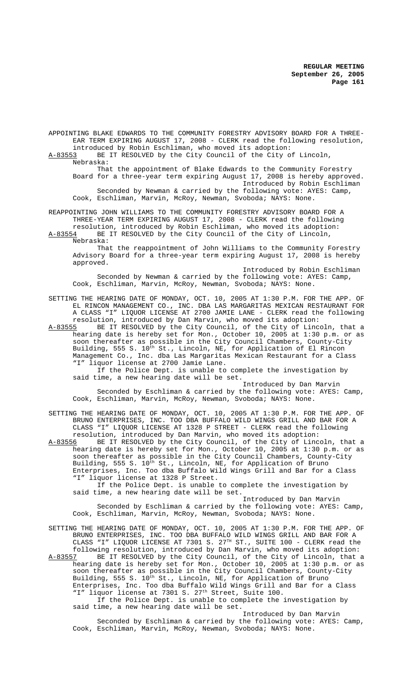APPOINTING BLAKE EDWARDS TO THE COMMUNITY FORESTRY ADVISORY BOARD FOR A THREE-EAR TERM EXPIRING AUGUST 17, 2008 - CLERK read the following resolution, introduced by Robin Eschliman, who moved its adoption:<br>A-83553 BE IT RESOLVED by the City Council of the City o BE IT RESOLVED by the City Council of the City of Lincoln, Nebraska: That the appointment of Blake Edwards to the Community Forestry

Board for a three-year term expiring August 17, 2008 is hereby approved. Introduced by Robin Eschliman Seconded by Newman & carried by the following vote: AYES: Camp, Cook, Eschliman, Marvin, McRoy, Newman, Svoboda; NAYS: None.

REAPPOINTING JOHN WILLIAMS TO THE COMMUNITY FORESTRY ADVISORY BOARD FOR A THREE-YEAR TERM EXPIRING AUGUST 17, 2008 - CLERK read the following resolution, introduced by Robin Eschliman, who moved its adoption:

A-83554 BE IT RESOLVED by the City Council of the City of Lincoln, Nebraska:

That the reappointment of John Williams to the Community Forestry Advisory Board for a three-year term expiring August 17, 2008 is hereby approved.

Introduced by Robin Eschliman Seconded by Newman & carried by the following vote: AYES: Camp, Cook, Eschliman, Marvin, McRoy, Newman, Svoboda; NAYS: None.

SETTING THE HEARING DATE OF MONDAY, OCT. 10, 2005 AT 1:30 P.M. FOR THE APP. OF EL RINCON MANAGEMENT CO., INC. DBA LAS MARGARITAS MEXICAN RESTAURANT FOR A CLASS "I" LIQUOR LICENSE AT 2700 JAMIE LANE - CLERK read the following resolution, introduced by Dan Marvin, who moved its adoption:

A-83555 BE IT RESOLVED by the City Council, of the City of Lincoln, that a hearing date is hereby set for Mon., October 10, 2005 at 1:30 p.m. or as soon thereafter as possible in the City Council Chambers, County-City Building, 555 S. 10<sup>th</sup> St., Lincoln, NE, for Application of El Rincon Management Co., Inc. dba Las Margaritas Mexican Restaurant for a Class "I" liquor license at 2700 Jamie Lane.

If the Police Dept. is unable to complete the investigation by said time, a new hearing date will be set.

Introduced by Dan Marvin Seconded by Eschliman & carried by the following vote: AYES: Camp, Cook, Eschliman, Marvin, McRoy, Newman, Svoboda; NAYS: None.

SETTING THE HEARING DATE OF MONDAY, OCT. 10, 2005 AT 1:30 P.M. FOR THE APP. OF BRUNO ENTERPRISES, INC. TOO DBA BUFFALO WILD WINGS GRILL AND BAR FOR A CLASS "I" LIQUOR LICENSE AT 1328 P STREET - CLERK read the following resolution, introduced by Dan Marvin, who moved its adoption:

A-83556 BE IT RESOLVED by the City Council, of the City of Lincoln, that a hearing date is hereby set for Mon., October 10, 2005 at 1:30 p.m. or as soon thereafter as possible in the City Council Chambers, County-City Building, 555 S. 10<sup>th</sup> St., Lincoln, NE, for Application of Bruno Enterprises, Inc. Too dba Buffalo Wild Wings Grill and Bar for a Class "I" liquor license at 1328 P Street.

If the Police Dept. is unable to complete the investigation by said time, a new hearing date will be set.

Introduced by Dan Marvin

Seconded by Eschliman & carried by the following vote: AYES: Camp, Cook, Eschliman, Marvin, McRoy, Newman, Svoboda; NAYS: None.

SETTING THE HEARING DATE OF MONDAY, OCT. 10, 2005 AT 1:30 P.M. FOR THE APP. OF BRUNO ENTERPRISES, INC. TOO DBA BUFFALO WILD WINGS GRILL AND BAR FOR A CLASS "I" LIQUOR LICENSE AT 7301 S. 27TH ST., SUITE 100 - CLERK read the following resolution, introduced by Dan Marvin, who moved its adoption: A-83557 BE IT RESOLVED by the City Council, of the City of Lincoln, that a

hearing date is hereby set for Mon., October 10, 2005 at 1:30 p.m. or as soon thereafter as possible in the City Council Chambers, County-City Building, 555 S. 10<sup>th</sup> St., Lincoln, NE, for Application of Bruno Enterprises, Inc. Too dba Buffalo Wild Wings Grill and Bar for a Class "I" liquor license at 7301 S. 27<sup>th</sup> Street, Suite 100.

If the Police Dept. is unable to complete the investigation by said time, a new hearing date will be set.

Introduced by Dan Marvin Seconded by Eschliman & carried by the following vote: AYES: Camp, Cook, Eschliman, Marvin, McRoy, Newman, Svoboda; NAYS: None.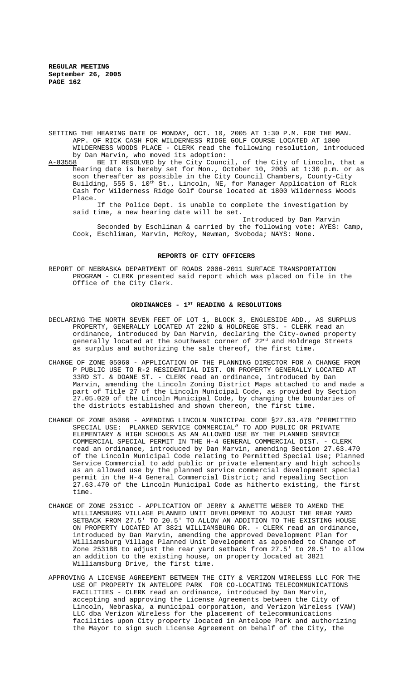- SETTING THE HEARING DATE OF MONDAY, OCT. 10, 2005 AT 1:30 P.M. FOR THE MAN. APP. OF RICK CASH FOR WILDERNESS RIDGE GOLF COURSE LOCATED AT 1800 WILDERNESS WOODS PLACE - CLERK read the following resolution, introduced by Dan Marvin, who moved its adoption:<br>A-83558 BE IT RESOLVED by the City Counc
- BE IT RESOLVED by the City Council, of the City of Lincoln, that a hearing date is hereby set for Mon., October 10, 2005 at 1:30 p.m. or as soon thereafter as possible in the City Council Chambers, County-City Building, 555 S. 10<sup>th</sup> St., Lincoln, NE, for Manager Application of Rick Cash for Wilderness Ridge Golf Course located at 1800 Wilderness Woods Place.

If the Police Dept. is unable to complete the investigation by said time, a new hearing date will be set.

Introduced by Dan Marvin Seconded by Eschliman & carried by the following vote: AYES: Camp, Cook, Eschliman, Marvin, McRoy, Newman, Svoboda; NAYS: None.

#### **REPORTS OF CITY OFFICERS**

REPORT OF NEBRASKA DEPARTMENT OF ROADS 2006-2011 SURFACE TRANSPORTATION PROGRAM - CLERK presented said report which was placed on file in the Office of the City Clerk.

# ORDINANCES - 1<sup>st</sup> READING & RESOLUTIONS

- DECLARING THE NORTH SEVEN FEET OF LOT 1, BLOCK 3, ENGLESIDE ADD., AS SURPLUS PROPERTY, GENERALLY LOCATED AT 22ND & HOLDREGE STS. - CLERK read an ordinance, introduced by Dan Marvin, declaring the City-owned property generally located at the southwest corner of 22<sup>nd</sup> and Holdrege Streets as surplus and authorizing the sale thereof, the first time.
- CHANGE OF ZONE 05060 APPLICATION OF THE PLANNING DIRECTOR FOR A CHANGE FROM P PUBLIC USE TO R-2 RESIDENTIAL DIST. ON PROPERTY GENERALLY LOCATED AT 33RD ST. & DOANE ST. - CLERK read an ordinance, introduced by Dan Marvin, amending the Lincoln Zoning District Maps attached to and made a part of Title 27 of the Lincoln Municipal Code, as provided by Section 27.05.020 of the Lincoln Municipal Code, by changing the boundaries of the districts established and shown thereon, the first time.
- CHANGE OF ZONE 05066 AMENDING LINCOLN MUNICIPAL CODE §27.63.470 "PERMITTED SPECIAL USE: PLANNED SERVICE COMMERCIAL" TO ADD PUBLIC OR PRIVATE ELEMENTARY & HIGH SCHOOLS AS AN ALLOWED USE BY THE PLANNED SERVICE COMMERCIAL SPECIAL PERMIT IN THE H-4 GENERAL COMMERCIAL DIST. - CLERK read an ordinance, introduced by Dan Marvin, amending Section 27.63.470 of the Lincoln Municipal Code relating to Permitted Special Use; Planned Service Commercial to add public or private elementary and high schools as an allowed use by the planned service commercial development special permit in the H-4 General Commercial District; and repealing Section 27.63.470 of the Lincoln Municipal Code as hitherto existing, the first time.
- CHANGE OF ZONE 2531CC APPLICATION OF JERRY & ANNETTE WEBER TO AMEND THE WILLIAMSBURG VILLAGE PLANNED UNIT DEVELOPMENT TO ADJUST THE REAR YARD SETBACK FROM 27.5' TO 20.5' TO ALLOW AN ADDITION TO THE EXISTING HOUSE ON PROPERTY LOCATED AT 3821 WILLIAMSBURG DR. - CLERK read an ordinance, introduced by Dan Marvin, amending the approved Development Plan for Williamsburg Village Planned Unit Development as appended to Change of Zone 2531BB to adjust the rear yard setback from 27.5' to 20.5' to allow an addition to the existing house, on property located at 3821 Williamsburg Drive, the first time.
- APPROVING A LICENSE AGREEMENT BETWEEN THE CITY & VERIZON WIRELESS LLC FOR THE USE OF PROPERTY IN ANTELOPE PARK FOR CO-LOCATING TELECOMMUNICATIONS FACILITIES - CLERK read an ordinance, introduced by Dan Marvin, accepting and approving the License Agreements between the City of Lincoln, Nebraska, a municipal corporation, and Verizon Wireless (VAW) LLC dba Verizon Wireless for the placement of telecommunications facilities upon City property located in Antelope Park and authorizing the Mayor to sign such License Agreement on behalf of the City, the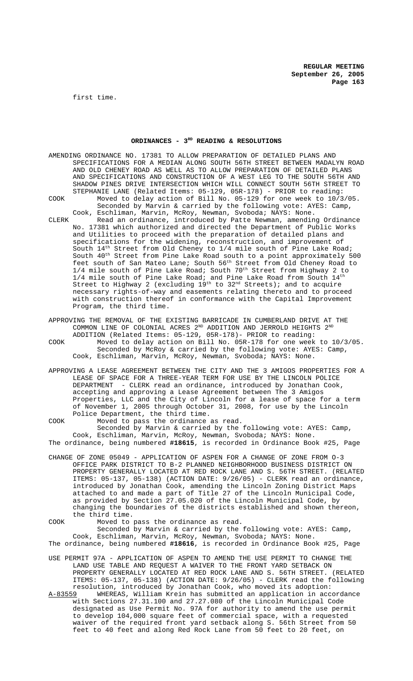first time.

### ORDINANCES - 3<sup>RD</sup> READING & RESOLUTIONS

AMENDING ORDINANCE NO. 17381 TO ALLOW PREPARATION OF DETAILED PLANS AND SPECIFICATIONS FOR A MEDIAN ALONG SOUTH 56TH STREET BETWEEN MADALYN ROAD AND OLD CHENEY ROAD AS WELL AS TO ALLOW PREPARATION OF DETAILED PLANS AND SPECIFICATIONS AND CONSTRUCTION OF A WEST LEG TO THE SOUTH 56TH AND SHADOW PINES DRIVE INTERSECTION WHICH WILL CONNECT SOUTH 56TH STREET TO STEPHANIE LANE (Related Items: 05-129, 05R-178) - PRIOR to reading: COOK Moved to delay action of Bill No. 05-129 for one week to 10/3/05. Seconded by Marvin & carried by the following vote: AYES: Camp,

- Cook, Eschliman, Marvin, McRoy, Newman, Svoboda; NAYS: None. CLERK Read an ordinance, introduced by Patte Newman, amending Ordinance No. 17381 which authorized and directed the Department of Public Works and Utilities to proceed with the preparation of detailed plans and specifications for the widening, reconstruction, and improvement of South  $14<sup>th</sup>$  Street from Old Cheney to 1/4 mile south of Pine Lake Road; South 40th Street from Pine Lake Road south to a point approximately 500 feet south of San Mateo Lane; South 56th Street from Old Cheney Road to  $1/4$  mile south of Pine Lake Road; South  $70^{th}$  Street from Highway 2 to  $1/4$  mile south of Pine Lake Road; and Pine Lake Road from South  $14<sup>th</sup>$ Street to Highway 2 (excluding  $19^{\text{th}}$  to  $32^{\text{nd}}$  Streets); and to acquire necessary rights-of-way and easements relating thereto and to proceed with construction thereof in conformance with the Capital Improvement Program, the third time.
- APPROVING THE REMOVAL OF THE EXISTING BARRICADE IN CUMBERLAND DRIVE AT THE COMMON LINE OF COLONIAL ACRES  $2^{\text{ND}}$  ADDITION AND JERROLD HEIGHTS  $2^{\text{ND}}$ ADDITION (Related Items: 05-129, 05R-178)- PRIOR to reading: COOK Moved to delay action on Bill No. 05R-178 for one week to 10/3/05.
- Seconded by McRoy & carried by the following vote: AYES: Camp, Cook, Eschliman, Marvin, McRoy, Newman, Svoboda; NAYS: None.
- APPROVING A LEASE AGREEMENT BETWEEN THE CITY AND THE 3 AMIGOS PROPERTIES FOR A LEASE OF SPACE FOR A THREE-YEAR TERM FOR USE BY THE LINCOLN POLICE DEPARTMENT - CLERK read an ordinance, introduced by Jonathan Cook, accepting and approving a Lease Agreement between The 3 Amigos Properties, LLC and the City of Lincoln for a lease of space for a term of November 1, 2005 through October 31, 2008, for use by the Lincoln Police Department, the third time.

COOK Moved to pass the ordinance as read. Seconded by Marvin & carried by the following vote: AYES: Camp, Cook, Eschliman, Marvin, McRoy, Newman, Svoboda; NAYS: None. The ordinance, being numbered **#18615**, is recorded in Ordinance Book #25, Page

CHANGE OF ZONE 05049 - APPLICATION OF ASPEN FOR A CHANGE OF ZONE FROM O-3 OFFICE PARK DISTRICT TO B-2 PLANNED NEIGHBORHOOD BUSINESS DISTRICT ON PROPERTY GENERALLY LOCATED AT RED ROCK LANE AND S. 56TH STREET. (RELATED ITEMS: 05-137, 05-138) (ACTION DATE: 9/26/05) - CLERK read an ordinance, introduced by Jonathan Cook, amending the Lincoln Zoning District Maps attached to and made a part of Title 27 of the Lincoln Municipal Code, as provided by Section 27.05.020 of the Lincoln Municipal Code, by changing the boundaries of the districts established and shown thereon, the third time.

COOK Moved to pass the ordinance as read. Seconded by Marvin & carried by the following vote: AYES: Camp, Cook, Eschliman, Marvin, McRoy, Newman, Svoboda; NAYS: None. The ordinance, being numbered **#18616**, is recorded in Ordinance Book #25, Page

- USE PERMIT 97A APPLICATION OF ASPEN TO AMEND THE USE PERMIT TO CHANGE THE LAND USE TABLE AND REQUEST A WAIVER TO THE FRONT YARD SETBACK ON PROPERTY GENERALLY LOCATED AT RED ROCK LANE AND S. 56TH STREET. (RELATED ITEMS: 05-137, 05-138) (ACTION DATE: 9/26/05) - CLERK read the following resolution, introduced by Jonathan Cook, who moved its adoption:<br>A-83559 WHEREAS, William Krein has submitted an application in acc
- WHEREAS, William Krein has submitted an application in accordance with Sections 27.31.100 and 27.27.080 of the Lincoln Municipal Code designated as Use Permit No. 97A for authority to amend the use permit to develop 104,000 square feet of commercial space, with a requested waiver of the required front yard setback along S. 56th Street from 50 feet to 40 feet and along Red Rock Lane from 50 feet to 20 feet, on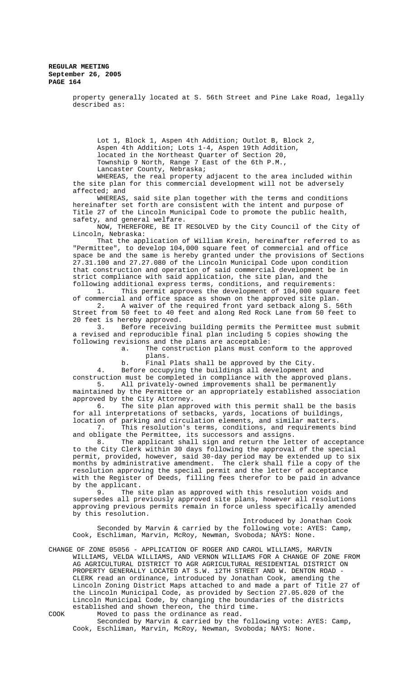> property generally located at S. 56th Street and Pine Lake Road, legally described as:

Lot 1, Block 1, Aspen 4th Addition; Outlot B, Block 2, Aspen 4th Addition; Lots 1-4, Aspen 19th Addition, located in the Northeast Quarter of Section 20, Township 9 North, Range 7 East of the 6th P.M., Lancaster County, Nebraska;

WHEREAS, the real property adjacent to the area included within the site plan for this commercial development will not be adversely affected; and

WHEREAS, said site plan together with the terms and conditions hereinafter set forth are consistent with the intent and purpose of Title 27 of the Lincoln Municipal Code to promote the public health, safety, and general welfare.

NOW, THEREFORE, BE IT RESOLVED by the City Council of the City of Lincoln, Nebraska:

That the application of William Krein, hereinafter referred to as "Permittee", to develop 104,000 square feet of commercial and office space be and the same is hereby granted under the provisions of Sections 27.31.100 and 27.27.080 of the Lincoln Municipal Code upon condition that construction and operation of said commercial development be in strict compliance with said application, the site plan, and the following additional express terms, conditions, and requirements:

1. This permit approves the development of 104,000 square feet of commercial and office space as shown on the approved site plan.

2. A waiver of the required front yard setback along S. 56th Street from 50 feet to 40 feet and along Red Rock Lane from 50 feet to 20 feet is hereby approved.

3. Before receiving building permits the Permittee must submit a revised and reproducible final plan including 5 copies showing the following revisions and the plans are acceptable:

a. The construction plans must conform to the approved plans.

b. Final Plats shall be approved by the City.

4. Before occupying the buildings all development and construction must be completed in compliance with the approved plans. 5. All privately-owned improvements shall be permanently

maintained by the Permittee or an appropriately established association approved by the City Attorney.<br>6. The site plan appr The site plan approved with this permit shall be the basis

for all interpretations of setbacks, yards, locations of buildings, location of parking and circulation elements, and similar matters.

7. This resolution's terms, conditions, and requirements bind and obligate the Permittee, its successors and assigns.

8. The applicant shall sign and return the letter of acceptance to the City Clerk within 30 days following the approval of the special permit, provided, however, said 30-day period may be extended up to six months by administrative amendment. The clerk shall file a copy of the resolution approving the special permit and the letter of acceptance with the Register of Deeds, filling fees therefor to be paid in advance

by the applicant.<br>9. The s The site plan as approved with this resolution voids and supersedes all previously approved site plans, however all resolutions approving previous permits remain in force unless specifically amended by this resolution.

Introduced by Jonathan Cook Seconded by Marvin & carried by the following vote: AYES: Camp, Cook, Eschliman, Marvin, McRoy, Newman, Svoboda; NAYS: None.

CHANGE OF ZONE 05056 - APPLICATION OF ROGER AND CAROL WILLIAMS, MARVIN WILLIAMS, VELDA WILLIAMS, AND VERNON WILLIAMS FOR A CHANGE OF ZONE FROM AG AGRICULTURAL DISTRICT TO AGR AGRICULTURAL RESIDENTIAL DISTRICT ON PROPERTY GENERALLY LOCATED AT S.W. 12TH STREET AND W. DENTON ROAD CLERK read an ordinance, introduced by Jonathan Cook, amending the Lincoln Zoning District Maps attached to and made a part of Title 27 of the Lincoln Municipal Code, as provided by Section 27.05.020 of the Lincoln Municipal Code, by changing the boundaries of the districts established and shown thereon, the third time.

COOK Moved to pass the ordinance as read. Seconded by Marvin & carried by the following vote: AYES: Camp, Cook, Eschliman, Marvin, McRoy, Newman, Svoboda; NAYS: None.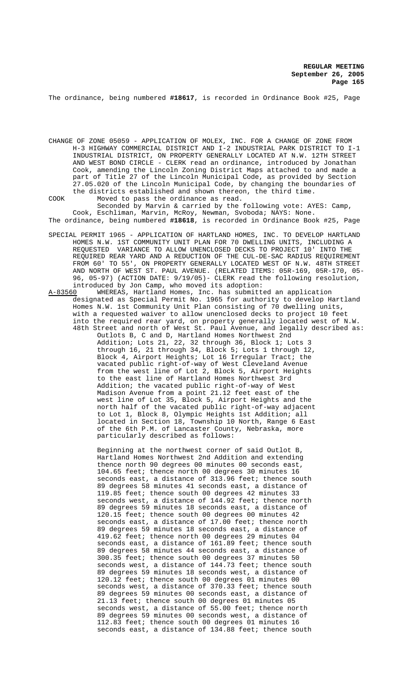The ordinance, being numbered **#18617**, is recorded in Ordinance Book #25, Page

CHANGE OF ZONE 05059 - APPLICATION OF MOLEX, INC. FOR A CHANGE OF ZONE FROM H-3 HIGHWAY COMMERCIAL DISTRICT AND I-2 INDUSTRIAL PARK DISTRICT TO I-1 INDUSTRIAL DISTRICT, ON PROPERTY GENERALLY LOCATED AT N.W. 12TH STREET AND WEST BOND CIRCLE - CLERK read an ordinance, introduced by Jonathan Cook, amending the Lincoln Zoning District Maps attached to and made a part of Title 27 of the Lincoln Municipal Code, as provided by Section 27.05.020 of the Lincoln Municipal Code, by changing the boundaries of the districts established and shown thereon, the third time.

COOK Moved to pass the ordinance as read. Seconded by Marvin & carried by the following vote: AYES: Camp, Cook, Eschliman, Marvin, McRoy, Newman, Svoboda; NAYS: None.

The ordinance, being numbered **#18618**, is recorded in Ordinance Book #25, Page

- SPECIAL PERMIT 1965 APPLICATION OF HARTLAND HOMES, INC. TO DEVELOP HARTLAND HOMES N.W. 1ST COMMUNITY UNIT PLAN FOR 70 DWELLING UNITS, INCLUDING A REQUESTED VARIANCE TO ALLOW UNENCLOSED DECKS TO PROJECT 10' INTO THE REQUIRED REAR YARD AND A REDUCTION OF THE CUL-DE-SAC RADIUS REQUIREMENT FROM 60' TO 55', ON PROPERTY GENERALLY LOCATED WEST OF N.W. 48TH STREET AND NORTH OF WEST ST. PAUL AVENUE. (RELATED ITEMS: 05R-169, 05R-170, 05- 96, 05-97) (ACTION DATE: 9/19/05)- CLERK read the following resolution, introduced by Jon Camp, who moved its adoption:
- A-83560 WHEREAS, Hartland Homes, Inc. has submitted an application designated as Special Permit No. 1965 for authority to develop Hartland Homes N.W. 1st Community Unit Plan consisting of 70 dwelling units, with a requested waiver to allow unenclosed decks to project 10 feet into the required rear yard, on property generally located west of N.W. 48th Street and north of West St. Paul Avenue, and legally described as:

Outlots B, C and D, Hartland Homes Northwest 2nd Addition; Lots 21, 22, 32 through 36, Block 1; Lots 3 through 16, 21 through 34, Block 5; Lots 1 through 12, Block 4, Airport Heights; Lot 16 Irregular Tract; the vacated public right-of-way of West Cleveland Avenue from the west line of Lot 2, Block 5, Airport Heights to the east line of Hartland Homes Northwest 3rd Addition; the vacated public right-of-way of West Madison Avenue from a point 21.12 feet east of the west line of Lot 35, Block 5, Airport Heights and the north half of the vacated public right-of-way adjacent to Lot 1, Block 8, Olympic Heights 1st Addition; all located in Section 18, Township 10 North, Range 6 East of the 6th P.M. of Lancaster County, Nebraska, more particularly described as follows:

Beginning at the northwest corner of said Outlot B, Hartland Homes Northwest 2nd Addition and extending thence north 90 degrees 00 minutes 00 seconds east, 104.65 feet; thence north 00 degrees 30 minutes 16 seconds east, a distance of 313.96 feet; thence south 89 degrees 58 minutes 41 seconds east, a distance of 119.85 feet; thence south 00 degrees 42 minutes 33 seconds west, a distance of 144.92 feet; thence north 89 degrees 59 minutes 18 seconds east, a distance of 120.15 feet; thence south 00 degrees 00 minutes 42 seconds east, a distance of 17.00 feet; thence north 89 degrees 59 minutes 18 seconds east, a distance of 419.62 feet; thence north 00 degrees 29 minutes 04 seconds east, a distance of 161.89 feet; thence south 89 degrees 58 minutes 44 seconds east, a distance of 300.35 feet; thence south 00 degrees 37 minutes 50 seconds west, a distance of 144.73 feet; thence south 89 degrees 59 minutes 18 seconds west, a distance of 120.12 feet; thence south 00 degrees 01 minutes 00 seconds west, a distance of 370.33 feet; thence south 89 degrees 59 minutes 00 seconds east, a distance of 21.13 feet; thence south 00 degrees 01 minutes 05 seconds west, a distance of 55.00 feet; thence north 89 degrees 59 minutes 00 seconds west, a distance of 112.83 feet; thence south 00 degrees 01 minutes 16 seconds east, a distance of 134.88 feet; thence south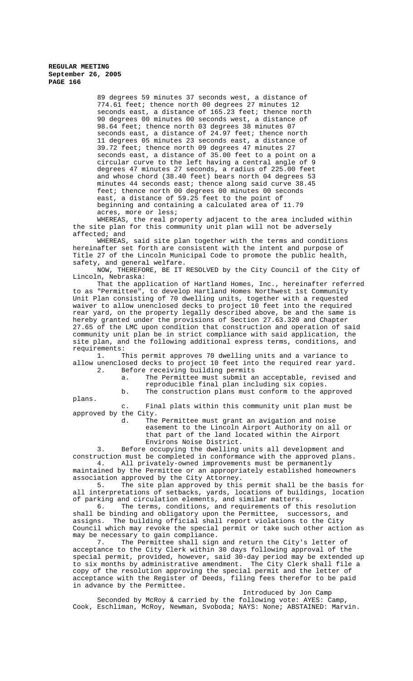> 89 degrees 59 minutes 37 seconds west, a distance of 774.61 feet; thence north 00 degrees 27 minutes 12 seconds east, a distance of 165.23 feet; thence north 90 degrees 00 minutes 00 seconds west, a distance of 98.64 feet; thence north 03 degrees 38 minutes 07 seconds east, a distance of 24.97 feet; thence north 11 degrees 05 minutes 23 seconds east, a distance of 39.72 feet; thence north 09 degrees 47 minutes 27 seconds east, a distance of 35.00 feet to a point on a circular curve to the left having a central angle of 9 degrees 47 minutes 27 seconds, a radius of 225.00 feet and whose chord (38.40 feet) bears north 04 degrees 53 minutes 44 seconds east; thence along said curve 38.45 feet; thence north 00 degrees 00 minutes 00 seconds east, a distance of 59.25 feet to the point of beginning and containing a calculated area of 11.79 acres, more or less;

WHEREAS, the real property adjacent to the area included within the site plan for this community unit plan will not be adversely affected; and

WHEREAS, said site plan together with the terms and conditions hereinafter set forth are consistent with the intent and purpose of Title 27 of the Lincoln Municipal Code to promote the public health, safety, and general welfare.

NOW, THEREFORE, BE IT RESOLVED by the City Council of the City of Lincoln, Nebraska:

That the application of Hartland Homes, Inc., hereinafter referred to as "Permittee", to develop Hartland Homes Northwest 1st Community Unit Plan consisting of 70 dwelling units, together with a requested waiver to allow unenclosed decks to project 10 feet into the required rear yard, on the property legally described above, be and the same is hereby granted under the provisions of Section 27.63.320 and Chapter 27.65 of the LMC upon condition that construction and operation of said community unit plan be in strict compliance with said application, the site plan, and the following additional express terms, conditions, and requirements:<br>1. T

This permit approves 70 dwelling units and a variance to allow unenclosed decks to project 10 feet into the required rear yard.<br>2. Before receiving building permits Before receiving building permits

a. The Permittee must submit an acceptable, revised and reproducible final plan including six copies.

b. The construction plans must conform to the approved

plans.

c. Final plats within this community unit plan must be approved by the City.<br>d. The

The Permittee must grant an avigation and noise easement to the Lincoln Airport Authority on all or that part of the land located within the Airport Environs Noise District.

3. Before occupying the dwelling units all development and construction must be completed in conformance with the approved plans. 4. All privately-owned improvements must be permanently

maintained by the Permittee or an appropriately established homeowners association approved by the City Attorney.

5. The site plan approved by this permit shall be the basis for all interpretations of setbacks, yards, locations of buildings, location

of parking and circulation elements, and similar matters.<br>6. The terms, conditions, and requirements of the The terms, conditions, and requirements of this resolution shall be binding and obligatory upon the Permittee, successors, and assigns. The building official shall report violations to the City Council which may revoke the special permit or take such other action as may be necessary to gain compliance.<br>7. The Permittee shall sign

The Permittee shall sign and return the City's letter of acceptance to the City Clerk within 30 days following approval of the special permit, provided, however, said 30-day period may be extended up to six months by administrative amendment. The City Clerk shall file a copy of the resolution approving the special permit and the letter of acceptance with the Register of Deeds, filing fees therefor to be paid in advance by the Permittee.

Introduced by Jon Camp

Seconded by McRoy & carried by the following vote: AYES: Camp, Cook, Eschliman, McRoy, Newman, Svoboda; NAYS: None; ABSTAINED: Marvin.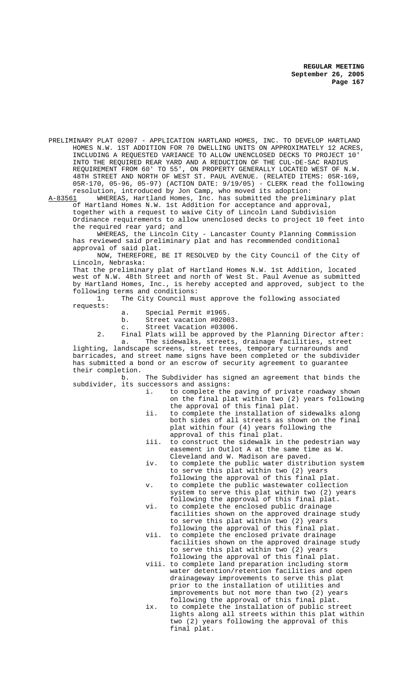PRELIMINARY PLAT 02007 - APPLICATION HARTLAND HOMES, INC. TO DEVELOP HARTLAND HOMES N.W. 1ST ADDITION FOR 70 DWELLING UNITS ON APPROXIMATELY 12 ACRES, INCLUDING A REQUESTED VARIANCE TO ALLOW UNENCLOSED DECKS TO PROJECT 10' INTO THE REQUIRED REAR YARD AND A REDUCTION OF THE CUL-DE-SAC RADIUS REQUIREMENT FROM 60' TO 55', ON PROPERTY GENERALLY LOCATED WEST OF N.W. 48TH STREET AND NORTH OF WEST ST. PAUL AVENUE. (RELATED ITEMS: 05R-169, 05R-170, 05-96, 05-97) (ACTION DATE: 9/19/05) - CLERK read the following resolution, introduced by Jon Camp, who moved its adoption:

A-83561 MHEREAS, Hartland Homes, Inc. has submitted the preliminary plat of Hartland Homes N.W. 1st Addition for acceptance and approval, together with a request to waive City of Lincoln Land Subdivision Ordinance requirements to allow unenclosed decks to project 10 feet into the required rear yard; and

WHEREAS, the Lincoln City - Lancaster County Planning Commission has reviewed said preliminary plat and has recommended conditional approval of said plat.

NOW, THEREFORE, BE IT RESOLVED by the City Council of the City of Lincoln, Nebraska:

That the preliminary plat of Hartland Homes N.W. 1st Addition, located west of N.W. 48th Street and north of West St. Paul Avenue as submitted by Hartland Homes, Inc., is hereby accepted and approved, subject to the following terms and conditions:

1. The City Council must approve the following associated requests:

- a. Special Permit #1965.<br>b. Street vacation #0200
- Street vacation #02003.
- c. Street Vacation #03006.

2. Final Plats will be approved by the Planning Director after: a. The sidewalks, streets, drainage facilities, street

lighting, landscape screens, street trees, temporary turnarounds and barricades, and street name signs have been completed or the subdivider has submitted a bond or an escrow of security agreement to guarantee their completion.

b. The Subdivider has signed an agreement that binds the subdivider, its successors and assigns:

- i. to complete the paving of private roadway shown on the final plat within two (2) years following the approval of this final plat.
- ii. to complete the installation of sidewalks along both sides of all streets as shown on the final plat within four (4) years following the approval of this final plat.
- iii. to construct the sidewalk in the pedestrian way easement in Outlot A at the same time as W. Cleveland and W. Madison are paved.
- iv. to complete the public water distribution system to serve this plat within two (2) years following the approval of this final plat.
- v. to complete the public wastewater collection system to serve this plat within two (2) years following the approval of this final plat.
- vi. to complete the enclosed public drainage facilities shown on the approved drainage study to serve this plat within two (2) years
- following the approval of this final plat. vii. to complete the enclosed private drainage facilities shown on the approved drainage study to serve this plat within two (2) years
- following the approval of this final plat. viii. to complete land preparation including storm water detention/retention facilities and open drainageway improvements to serve this plat prior to the installation of utilities and improvements but not more than two (2) years following the approval of this final plat.
- ix. to complete the installation of public street lights along all streets within this plat within two (2) years following the approval of this final plat.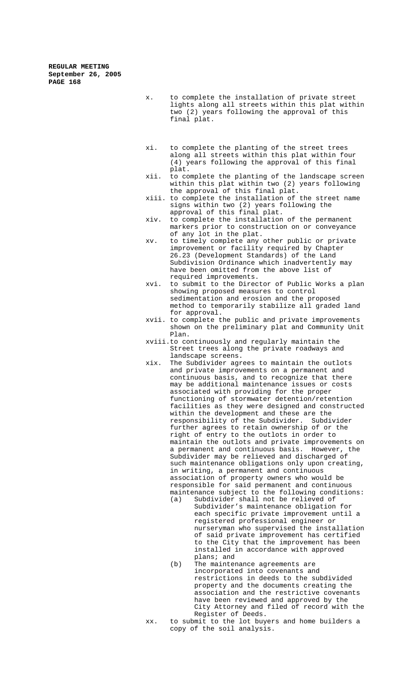- x. to complete the installation of private street lights along all streets within this plat within two (2) years following the approval of this final plat.
- xi. to complete the planting of the street trees along all streets within this plat within four (4) years following the approval of this final plat.
- xii. to complete the planting of the landscape screen within this plat within two (2) years following the approval of this final plat.
- xiii. to complete the installation of the street name signs within two (2) years following the approval of this final plat.
- xiv. to complete the installation of the permanent markers prior to construction on or conveyance of any lot in the plat.
- xv. to timely complete any other public or private improvement or facility required by Chapter 26.23 (Development Standards) of the Land Subdivision Ordinance which inadvertently may have been omitted from the above list of required improvements.
- xvi. to submit to the Director of Public Works a plan showing proposed measures to control sedimentation and erosion and the proposed method to temporarily stabilize all graded land for approval.
- xvii. to complete the public and private improvements shown on the preliminary plat and Community Unit Plan.
- xviii.to continuously and regularly maintain the Street trees along the private roadways and landscape screens.
- xix. The Subdivider agrees to maintain the outlots and private improvements on a permanent and continuous basis, and to recognize that there may be additional maintenance issues or costs associated with providing for the proper functioning of stormwater detention/retention facilities as they were designed and constructed within the development and these are the responsibility of the Subdivider. Subdivider further agrees to retain ownership of or the right of entry to the outlots in order to maintain the outlots and private improvements on a permanent and continuous basis. However, the Subdivider may be relieved and discharged of such maintenance obligations only upon creating, in writing, a permanent and continuous association of property owners who would be responsible for said permanent and continuous maintenance subject to the following conditions:
	- (a) Subdivider shall not be relieved of Subdivider's maintenance obligation for each specific private improvement until a registered professional engineer or nurseryman who supervised the installation of said private improvement has certified to the City that the improvement has been installed in accordance with approved plans; and
	- (b) The maintenance agreements are incorporated into covenants and restrictions in deeds to the subdivided property and the documents creating the association and the restrictive covenants have been reviewed and approved by the City Attorney and filed of record with the Register of Deeds.
- xx. to submit to the lot buyers and home builders a copy of the soil analysis.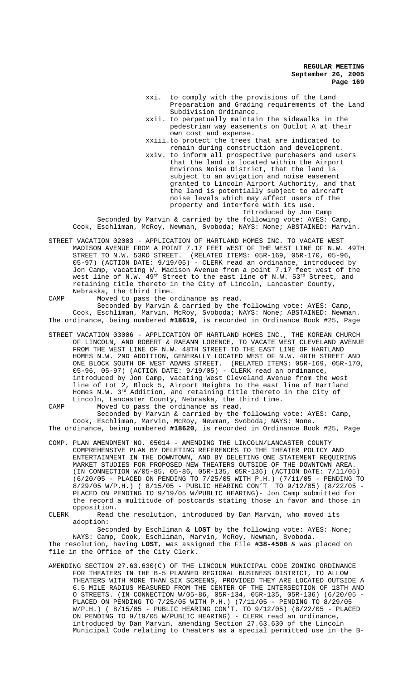- xxi. to comply with the provisions of the Land Preparation and Grading requirements of the Land Subdivision Ordinance.
- xxii. to perpetually maintain the sidewalks in the pedestrian way easements on Outlot A at their own cost and expense.
- xxiii.to protect the trees that are indicated to remain during construction and development.
- xxiv. to inform all prospective purchasers and users that the land is located within the Airport Environs Noise District, that the land is subject to an avigation and noise easement granted to Lincoln Airport Authority, and that the land is potentially subject to aircraft noise levels which may affect users of the property and interfere with its use. Introduced by Jon Camp

Seconded by Marvin & carried by the following vote: AYES: Camp, Cook, Eschliman, McRoy, Newman, Svoboda; NAYS: None; ABSTAINED: Marvin.

- STREET VACATION 02003 APPLICATION OF HARTLAND HOMES INC. TO VACATE WEST MADISON AVENUE FROM A POINT 7.17 FEET WEST OF THE WEST LINE OF N.W. 49TH STREET TO N.W. 53RD STREET. (RELATED ITEMS: 05R-169, 05R-170, 05-96, 05-97) (ACTION DATE: 9/19/05) - CLERK read an ordinance, introduced by Jon Camp, vacating W. Madison Avenue from a point 7.17 feet west of the west line of N.W.  $49^{\rm th}$  Street to the east line of N.W.  $53^{\rm rd}$  Street, and retaining title thereto in the City of Lincoln, Lancaster County, Nebraska, the third time.
- CAMP Moved to pass the ordinance as read. Seconded by Marvin & carried by the following vote: AYES: Camp, Cook, Eschliman, Marvin, McRoy, Svoboda; NAYS: None; ABSTAINED: Newman. The ordinance, being numbered **#18619**, is recorded in Ordinance Book #25, Page
- STREET VACATION 03006 APPLICATION OF HARTLAND HOMES INC., THE KOREAN CHURCH OF LINCOLN, AND ROBERT & RAEANN LORENCE, TO VACATE WEST CLEVELAND AVENUE FROM THE WEST LINE OF N.W. 48TH STREET TO THE EAST LINE OF HARTLAND HOMES N.W. 2ND ADDITION, GENERALLY LOCATED WEST OF N.W. 48TH STREET AND ONE BLOCK SOUTH OF WEST ADAMS STREET. (RELATED ITEMS: 05R-169, 05R-170, 05-96, 05-97) (ACTION DATE: 9/19/05) - CLERK read an ordinance, introduced by Jon Camp, vacating West Cleveland Avenue from the west line of Lot 2, Block 5, Airport Heights to the east line of Hartland Homes N.W. 3rd Addition, and retaining title thereto in the City of Lincoln, Lancaster County, Nebraska, the third time.

CAMP Moved to pass the ordinance as read. Seconded by Marvin & carried by the following vote: AYES: Camp, Cook, Eschliman, Marvin, McRoy, Newman, Svoboda; NAYS: None. The ordinance, being numbered **#18620**, is recorded in Ordinance Book #25, Page

- COMP. PLAN AMENDMENT NO. 05014 AMENDING THE LINCOLN/LANCASTER COUNTY COMPREHENSIVE PLAN BY DELETING REFERENCES TO THE THEATER POLICY AND ENTERTAINMENT IN THE DOWNTOWN, AND BY DELETING ONE STATEMENT REQUIRING MARKET STUDIES FOR PROPOSED NEW THEATERS OUTSIDE OF THE DOWNTOWN AREA. (IN CONNECTION W/05-85, 05-86, 05R-135, 05R-136) (ACTION DATE: 7/11/05) (6/20/05 - PLACED ON PENDING TO 7/25/05 WITH P.H.) (7/11/05 - PENDING TO 8/29/05 W/P.H.) ( 8/15/05 - PUBLIC HEARING CON'T TO 9/12/05) (8/22/05 - PLACED ON PENDING TO 9/19/05 W/PUBLIC HEARING)- Jon Camp submitted for the record a multitude of postcards stating those in favor and those in opposition.
- CLERK Read the resolution, introduced by Dan Marvin, who moved its adoption:

Seconded by Eschliman & **LOST** by the following vote: AYES: None; NAYS: Camp, Cook, Eschliman, Marvin, McRoy, Newman, Svoboda. The resolution, having **LOST**, was assigned the File **#38-4508** & was placed on file in the Office of the City Clerk.

AMENDING SECTION 27.63.630(C) OF THE LINCOLN MUNICIPAL CODE ZONING ORDINANCE FOR THEATERS IN THE B-5 PLANNED REGIONAL BUSINESS DISTRICT, TO ALLOW THEATERS WITH MORE THAN SIX SCREENS, PROVIDED THEY ARE LOCATED OUTSIDE A 6.5 MILE RADIUS MEASURED FROM THE CENTER OF THE INTERSECTION OF 13TH AND O STREETS. (IN CONNECTION W/05-86, 05R-134, 05R-135, 05R-136) (6/20/05 - PLACED ON PENDING TO 7/25/05 WITH P.H.) (7/11/05 - PENDING TO 8/29/05 W/P.H.) ( 8/15/05 - PUBLIC HEARING CON'T. TO 9/12/05) (8/22/05 - PLACED ON PENDING TO 9/19/05 W/PUBLIC HEARING) - CLERK read an ordinance, introduced by Dan Marvin, amending Section 27.63.630 of the Lincoln Municipal Code relating to theaters as a special permitted use in the B-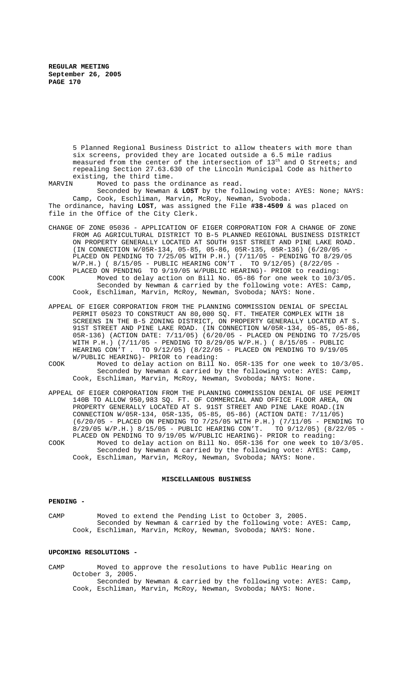5 Planned Regional Business District to allow theaters with more than six screens, provided they are located outside a 6.5 mile radius measured from the center of the intersection of 13<sup>th</sup> and 0 Streets; and repealing Section 27.63.630 of the Lincoln Municipal Code as hitherto existing, the third time.<br>MARVIN Moved to pass the o

Moved to pass the ordinance as read. Seconded by Newman & **LOST** by the following vote: AYES: None; NAYS: Camp, Cook, Eschliman, Marvin, McRoy, Newman, Svoboda. The ordinance, having **LOST**, was assigned the File **#38-4509** & was placed on file in the Office of the City Clerk.

- CHANGE OF ZONE 05036 APPLICATION OF EIGER CORPORATION FOR A CHANGE OF ZONE FROM AG AGRICULTURAL DISTRICT TO B-5 PLANNED REGIONAL BUSINESS DISTRICT ON PROPERTY GENERALLY LOCATED AT SOUTH 91ST STREET AND PINE LAKE ROAD. (IN CONNECTION W/05R-134, 05-85, 05-86, 05R-135, 05R-136) (6/20/05 - PLACED ON PENDING TO 7/25/05 WITH P.H.) (7/11/05 - PENDING TO 8/29/05 W/P.H.) ( 8/15/05 - PUBLIC HEARING CON'T . TO 9/12/05) (8/22/05 - PLACED ON PENDING TO 9/19/05 W/PUBLIC HEARING)- PRIOR to reading: COOK Moved to delay action on Bill No. 05-86 for one week to 10/3/05.
- Seconded by Newman & carried by the following vote: AYES: Camp, Cook, Eschliman, Marvin, McRoy, Newman, Svoboda; NAYS: None.
- APPEAL OF EIGER CORPORATION FROM THE PLANNING COMMISSION DENIAL OF SPECIAL PERMIT 05023 TO CONSTRUCT AN 80,000 SQ. FT. THEATER COMPLEX WITH 18 SCREENS IN THE B-5 ZONING DISTRICT, ON PROPERTY GENERALLY LOCATED AT S. 91ST STREET AND PINE LAKE ROAD. (IN CONNECTION W/05R-134, 05-85, 05-86, 05R-136) (ACTION DATE: 7/11/05) (6/20/05 - PLACED ON PENDING TO 7/25/05 WITH P.H.) (7/11/05 - PENDING TO 8/29/05 W/P.H.) ( 8/15/05 - PUBLIC HEARING CON'T . TO 9/12/05) (8/22/05 - PLACED ON PENDING TO 9/19/05 W/PUBLIC HEARING)- PRIOR to reading:
- COOK Moved to delay action on Bill No. 05R-135 for one week to 10/3/05. Seconded by Newman & carried by the following vote: AYES: Camp, Cook, Eschliman, Marvin, McRoy, Newman, Svoboda; NAYS: None.
- APPEAL OF EIGER CORPORATION FROM THE PLANNING COMMISSION DENIAL OF USE PERMIT 140B TO ALLOW 950,983 SQ. FT. OF COMMERCIAL AND OFFICE FLOOR AREA, ON PROPERTY GENERALLY LOCATED AT S. 91ST STREET AND PINE LAKE ROAD.(IN CONNECTION W/05R-134, 05R-135, 05-85, 05-86) (ACTION DATE: 7/11/05) (6/20/05 - PLACED ON PENDING TO 7/25/05 WITH P.H.) (7/11/05 - PENDING TO 8/29/05 W/P.H.) 8/15/05 - PUBLIC HEARING CON'T. TO 9/12/05) (8/22/05 - PLACED ON PENDING TO 9/19/05 W/PUBLIC HEARING)- PRIOR to reading: COOK Moved to delay action on Bill No. 05R-136 for one week to 10/3/05. Seconded by Newman & carried by the following vote: AYES: Camp, Cook, Eschliman, Marvin, McRoy, Newman, Svoboda; NAYS: None.

### **MISCELLANEOUS BUSINESS**

#### **PENDING -**

CAMP Moved to extend the Pending List to October 3, 2005. Seconded by Newman & carried by the following vote: AYES: Camp, Cook, Eschliman, Marvin, McRoy, Newman, Svoboda; NAYS: None.

### **UPCOMING RESOLUTIONS -**

CAMP Moved to approve the resolutions to have Public Hearing on October 3, 2005.

Seconded by Newman & carried by the following vote: AYES: Camp, Cook, Eschliman, Marvin, McRoy, Newman, Svoboda; NAYS: None.